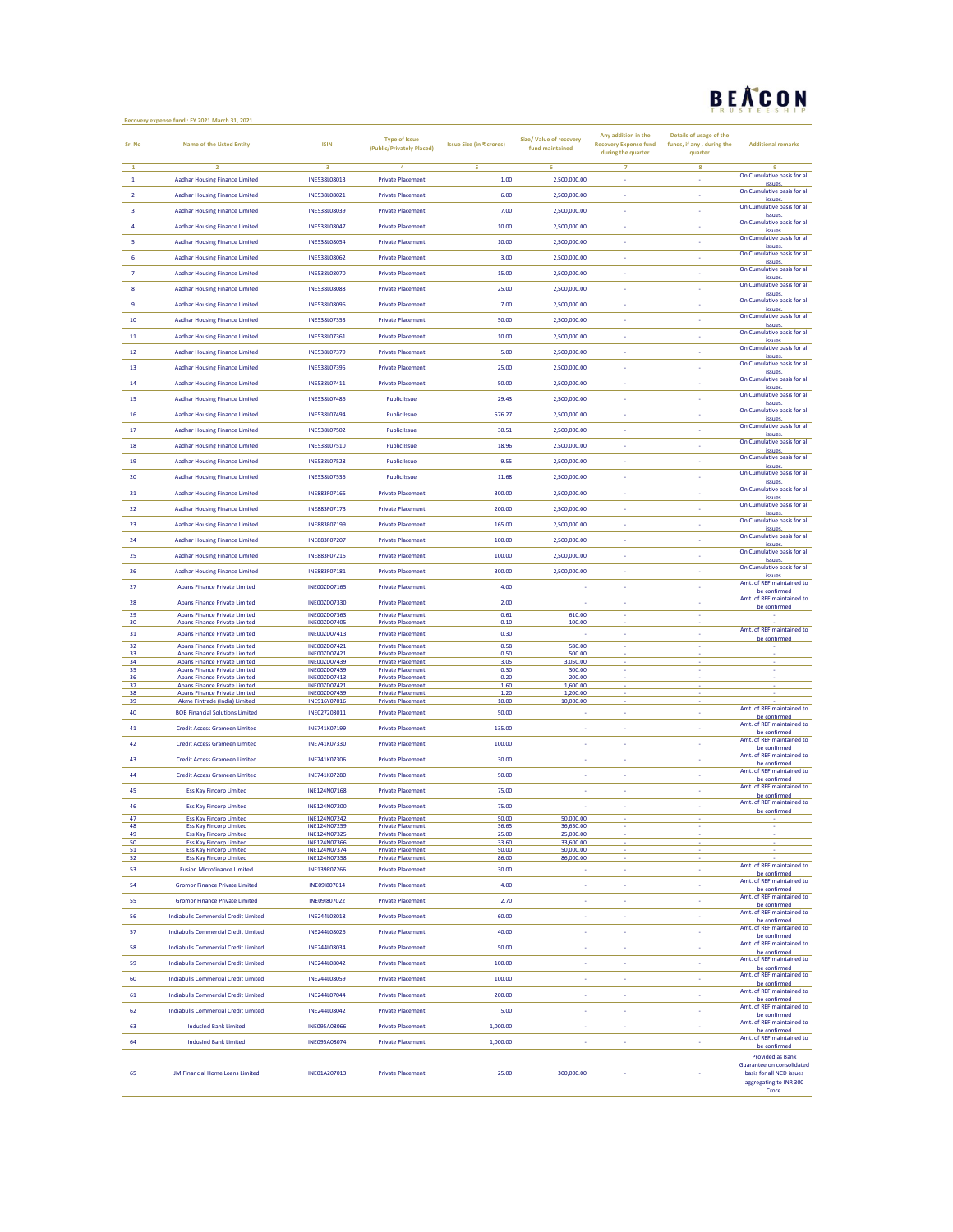## BEACON

|                         | Recovery expense fund : FY 2021 March 31, 2021                               |                                     |                                                      |                          |                                            |                                                     |                                                      | <b>TRUSTEESHIP</b>                        |
|-------------------------|------------------------------------------------------------------------------|-------------------------------------|------------------------------------------------------|--------------------------|--------------------------------------------|-----------------------------------------------------|------------------------------------------------------|-------------------------------------------|
| Sr. No                  | <b>Name of the Listed Entity</b>                                             | <b>ISIN</b>                         | <b>Type of Issue</b><br>(Public/Privately Placed)    | Issue Size (in ₹ crores) | Size/ Value of recovery<br>fund maintained | Any addition in the<br><b>Recovery Expense fund</b> | Details of usage of the<br>funds, if any, during the | <b>Additional remarks</b>                 |
|                         |                                                                              |                                     |                                                      |                          |                                            | during the quarter                                  | quarter                                              |                                           |
| $\mathbf{1}$            | $\overline{2}$<br><b>Aadhar Housing Finance Limited</b>                      | з<br>INE538L08013                   | 4<br><b>Private Placement</b>                        | 5<br>1.00                | 6<br>2,500,000.00                          | 7<br>×,                                             | 8<br>k,                                              | q<br>On Cumulative basis for all          |
| $\overline{2}$          |                                                                              | INE538L08021                        |                                                      | 6.00                     |                                            | ×.                                                  | ×                                                    | issues.<br>On Cumulative basis for all    |
|                         | <b>Aadhar Housing Finance Limited</b>                                        |                                     | <b>Private Placement</b>                             |                          | 2,500,000.00                               |                                                     |                                                      | issues.<br>On Cumulative basis for all    |
| $\overline{\mathbf{3}}$ | <b>Aadhar Housing Finance Limited</b>                                        | <b>INF538108039</b>                 | <b>Private Placement</b>                             | 7.00                     | 2.500.000.00                               | $\overline{\phantom{a}}$                            | ÷.                                                   | issues<br>On Cumulative basis for all     |
| $\overline{4}$          | <b>Aadhar Housing Finance Limited</b>                                        | INE538L08047                        | <b>Private Placement</b>                             | 10.00                    | 2,500,000.00                               | ÷                                                   | ×                                                    | issues.<br>On Cumulative basis for all    |
| 5                       | <b>Aadhar Housing Finance Limited</b>                                        | INE538L08054                        | <b>Private Placement</b>                             | 10.00                    | 2,500,000.00                               |                                                     |                                                      | issues.                                   |
| 6                       | <b>Aadhar Housing Finance Limited</b>                                        | INE538L08062                        | <b>Private Placement</b>                             | 3.00                     | 2,500,000.00                               | ×.                                                  | ÷.                                                   | On Cumulative basis for all<br>issues     |
| $\overline{7}$          | <b>Aadhar Housing Finance Limited</b>                                        | INE538L08070                        | <b>Private Placement</b>                             | 15.00                    | 2,500,000.00                               | à,                                                  | ÷,                                                   | On Cumulative basis for all<br>issues.    |
| $\bf8$                  | <b>Aadhar Housing Finance Limited</b>                                        | INE538L08088                        | <b>Private Placement</b>                             | 25.00                    | 2,500,000.00                               | ٠                                                   | ×                                                    | On Cumulative basis for all<br>issues.    |
| 9                       | <b>Aadhar Housing Finance Limited</b>                                        | INE538L08096                        | <b>Private Placement</b>                             | 7.00                     | 2,500,000.00                               | ×.                                                  | ÷.                                                   | On Cumulative basis for all<br>issues.    |
| 10                      | <b>Aadhar Housing Finance Limited</b>                                        | <b>INF538107353</b>                 | <b>Private Placement</b>                             | 50.00                    | 2,500,000.00                               | ×                                                   | ×                                                    | On Cumulative basis for all               |
| $11\,$                  | <b>Aadhar Housing Finance Limited</b>                                        | INE538L07361                        | <b>Private Placement</b>                             | 10.00                    | 2,500,000.00                               | ÷                                                   | k,                                                   | issues<br>On Cumulative basis for all     |
| 12                      | <b>Aadhar Housing Finance Limited</b>                                        | INE538L07379                        | <b>Private Placement</b>                             | 5.00                     | 2,500,000.00                               | k,                                                  | k,                                                   | issues.<br>On Cumulative basis for all    |
| 13                      | <b>Aadhar Housing Finance Limited</b>                                        | INE538L07395                        | <b>Private Placement</b>                             | 25.00                    | 2,500,000.00                               | ÷                                                   | ÷.                                                   | issues.<br>On Cumulative basis for all    |
|                         |                                                                              |                                     |                                                      |                          |                                            |                                                     |                                                      | issues<br>On Cumulative basis for all     |
| 14                      | <b>Aadhar Housing Finance Limited</b>                                        | INE538L07411                        | <b>Private Placement</b>                             | 50.00                    | 2,500,000.00                               | $\overline{\phantom{a}}$                            | ÷                                                    | issues.<br>On Cumulative basis for all    |
| 15                      | <b>Aadhar Housing Finance Limited</b>                                        | INE538L07486                        | <b>Public Issue</b>                                  | 29.43                    | 2,500,000.00                               | k,                                                  | ł,                                                   | issues.<br>On Cumulative basis for all    |
| 16                      | <b>Aadhar Housing Finance Limited</b>                                        | INE538L07494                        | <b>Public Issue</b>                                  | 576.27                   | 2,500,000.00                               |                                                     |                                                      | issues.                                   |
| 17                      | <b>Aadhar Housing Finance Limited</b>                                        | INE538L07502                        | <b>Public Issue</b>                                  | 30.51                    | 2,500,000.00                               | ×.                                                  | ×,                                                   | On Cumulative basis for all<br>issues     |
| 18                      | <b>Aadhar Housing Finance Limited</b>                                        | INE538L07510                        | <b>Public Issue</b>                                  | 18.96                    | 2,500,000.00                               | k,                                                  | ł,                                                   | On Cumulative basis for all<br>issues.    |
| 19                      | <b>Aadhar Housing Finance Limited</b>                                        | INE538L07528                        | <b>Public Issue</b>                                  | 9.55                     | 2,500,000.00                               |                                                     | ł,                                                   | On Cumulative basis for all<br>issues.    |
| 20                      | <b>Aadhar Housing Finance Limited</b>                                        | INE538L07536                        | <b>Public Issue</b>                                  | 11.68                    | 2,500,000.00                               | ×                                                   | ×,                                                   | On Cumulative basis for all               |
| 21                      | <b>Aadhar Housing Finance Limited</b>                                        | INE883F07165                        | <b>Private Placement</b>                             | 300.00                   | 2,500,000.00                               | ×,                                                  | ×                                                    | issues<br>On Cumulative basis for all     |
| 22                      | <b>Aadhar Housing Finance Limited</b>                                        | INE883F07173                        | <b>Private Placement</b>                             | 200.00                   | 2,500,000.00                               | ×                                                   | k,                                                   | issues.<br>On Cumulative basis for all    |
| 23                      | <b>Aadhar Housing Finance Limited</b>                                        | INE883F07199                        | <b>Private Placement</b>                             | 165.00                   | 2,500,000.00                               | ×                                                   | k,                                                   | issues<br>On Cumulative basis for all     |
|                         |                                                                              |                                     |                                                      |                          |                                            |                                                     |                                                      | issues.<br>On Cumulative basis for all    |
| 24                      | <b>Aadhar Housing Finance Limited</b>                                        | INE883F07207                        | <b>Private Placement</b>                             | 100.00                   | 2,500,000.00                               | ×,                                                  | ä,                                                   | issues.<br>On Cumulative basis for all    |
| 25                      | <b>Aadhar Housing Finance Limited</b>                                        | INE883F07215                        | <b>Private Placement</b>                             | 100.00                   | 2.500.000.00                               | ×.                                                  | ×                                                    | issues.<br>On Cumulative basis for all    |
| 26                      | <b>Aadhar Housing Finance Limited</b>                                        | INE883F07181                        | <b>Private Placement</b>                             | 300.00                   | 2,500,000.00                               | ×                                                   | ×,                                                   | issues.<br>Amt. of REF maintained to      |
| 27                      | Abans Finance Private Limited                                                | INE00ZD07165                        | <b>Private Placement</b>                             | 4.00                     | ÷.                                         | ×.                                                  | ×                                                    | be confirmed                              |
| 28                      | <b>Abans Finance Private Limited</b>                                         | INE00ZD07330                        | <b>Private Placement</b>                             | 2.00                     | $\sim$                                     | $\sim$                                              | ×,                                                   | Amt. of REF maintained to<br>be confirmed |
| 29<br>30                | <b>Abans Finance Private Limited</b><br><b>Abans Finance Private Limited</b> | INE00ZD07363<br><b>INE00ZD07405</b> | <b>Private Placement</b><br><b>Private Placement</b> | 0.61<br>0.10             | 610.00<br>100.00                           |                                                     |                                                      |                                           |
| 31                      | <b>Abans Finance Private Limited</b>                                         | INE00ZD07413                        | <b>Private Placement</b>                             | 0.30                     |                                            | ï                                                   | k,                                                   | Amt. of REF maintained to<br>be confirmed |
| 32<br>33                | <b>Abans Finance Private Limited</b><br><b>Abans Finance Private Limited</b> | INE00ZD07421<br>INE00ZD07421        | <b>Private Placement</b><br><b>Private Placement</b> | 0.58<br>0.50             | 580.00<br>500.00                           |                                                     |                                                      |                                           |
| 34                      | <b>Abans Finance Private Limited</b>                                         | INE00ZD07439                        | <b>Private Placement</b>                             | 3.05                     | 3,050.00                                   |                                                     |                                                      |                                           |
| 35<br>36                | <b>Abans Finance Private Limited</b><br><b>Abans Finance Private Limited</b> | INE00ZD07439<br>INE00ZD07413        | <b>Private Placement</b><br><b>Private Placement</b> | 0.30<br>0.20             | 300.00<br>200.00                           |                                                     |                                                      |                                           |
| 37<br>38                | <b>Abans Finance Private Limited</b><br><b>Abans Finance Private Limited</b> | INE00ZD07421<br>INE00ZD07439        | <b>Private Placement</b><br><b>Private Placement</b> | 1.60<br>1.20             | 1,600.00<br>1,200.00                       |                                                     |                                                      |                                           |
| 39                      | Akme Fintrade (India) Limited                                                | INE916Y07016                        | <b>Private Placement</b>                             | 10.00                    | 10,000.00                                  |                                                     |                                                      | Amt. of REF maintained to                 |
| 40                      | <b>BOB Financial Solutions Limited</b>                                       | INE027208011                        | <b>Private Placement</b>                             | 50.00                    |                                            | ×.                                                  | ÷.                                                   | be confirmed<br>Amt. of REF maintained to |
| 41                      | <b>Credit Access Grameen Limited</b>                                         | INE741K07199                        | <b>Private Placement</b>                             | 135.00                   | ÷                                          | ÷                                                   | k,                                                   | be confirmed<br>Amt. of REF maintained to |
| 42                      | <b>Credit Access Grameen Limited</b>                                         | INE741K07330                        | <b>Private Placement</b>                             | 100.00                   | ł.                                         | k,                                                  | ×,                                                   | be confirmed                              |
| 43                      | <b>Credit Access Grameen Limited</b>                                         | INE741K07306                        | <b>Private Placement</b>                             | 30.00                    | ×,                                         | ×.                                                  | ÷.                                                   | Amt. of REF maintained to<br>be confirmed |
| 44                      | <b>Credit Access Grameen Limited</b>                                         | INE741K07280                        | <b>Private Placement</b>                             | 50.00                    | ٠                                          | ÷                                                   | ×                                                    | Amt. of REF maintained to<br>be confirmed |
| 45                      | <b>Ess Kay Fincorp Limited</b>                                               | INE124N07168                        | <b>Private Placement</b>                             | 75.00                    | ×                                          | ×                                                   | ×                                                    | Amt. of REF maintained to<br>be confirmed |
| 46                      | Ess Kay Fincorp Limited                                                      | INE124NU/200                        | Private Placement                                    | 75.UU                    |                                            |                                                     |                                                      | Amt. of REF maintained to                 |
| 47                      | <b>Ess Kay Fincorp Limited</b>                                               | INE124N07242                        | <b>Private Placement</b>                             | 50.00                    | 50,000.00                                  |                                                     |                                                      | be confirmed                              |
| 48<br>49                | <b>Ess Kay Fincorp Limited</b><br><b>Ess Kay Fincorp Limited</b>             | INE124N07259<br>INE124N07325        | <b>Private Placement</b><br><b>Private Placement</b> | 36.65<br>25.00           | 36.650.00<br>25,000.00                     |                                                     |                                                      |                                           |
| 50<br>51                | <b>Ess Kay Fincorp Limited</b><br><b>Ess Kay Fincorp Limited</b>             | INE124N07366<br>INE124N07374        | <b>Private Placement</b><br><b>Private Placement</b> | 33.60<br>50.00           | 33,600.00<br>50,000.00                     |                                                     |                                                      |                                           |
| 52                      | <b>Ess Kay Fincorp Limited</b>                                               | INE124N07358                        | <b>Private Placement</b>                             | 86.00                    | 86,000.00                                  |                                                     |                                                      | Amt. of REF maintained to                 |
| 53                      | <b>Fusion Microfinance Limited</b>                                           | INE139R07266                        | <b>Private Placement</b>                             | 30.00                    | ۰.                                         | ×                                                   | ×                                                    | be confirmed<br>Amt. of REF maintained to |
| 54                      | <b>Gromor Finance Private Limited</b>                                        | INE09I807014                        | <b>Private Placement</b>                             | 4.00                     | ×                                          | ×                                                   | ×                                                    | be confirmed                              |
| 55                      | <b>Gromor Finance Private Limited</b>                                        | INE091807022                        | <b>Private Placement</b>                             | 2.70                     | ä,                                         | ä,                                                  | ×                                                    | Amt. of REF maintained to<br>be confirmed |
| 56                      | <b>Indiabulls Commercial Credit Limited</b>                                  | INE244L08018                        | <b>Private Placement</b>                             | 60.00                    | ä,                                         | ×                                                   | ×                                                    | Amt. of REF maintained to<br>be confirmed |
| 57                      | <b>Indiabulls Commercial Credit Limited</b>                                  | INE244L08026                        | <b>Private Placement</b>                             | 40.00                    | ×                                          | ×                                                   | ×                                                    | Amt. of REF maintained to<br>be confirmed |
| 58                      | <b>Indiabulls Commercial Credit Limited</b>                                  | INF244108034                        | <b>Private Placement</b>                             | 50.00                    | ×.                                         | ×.                                                  | ×                                                    | Amt. of REF maintained to<br>be confirmed |
| 59                      | <b>Indiabulls Commercial Credit Limited</b>                                  | INE244L08042                        | <b>Private Placement</b>                             | 100.00                   | ÷                                          | ÷                                                   | ÷                                                    | Amt. of REF maintained to                 |
| 60                      | <b>Indiabulls Commercial Credit Limited</b>                                  | INE244L08059                        | <b>Private Placement</b>                             | 100.00                   | ä,                                         | ä,                                                  | ä,                                                   | be confirmed<br>Amt. of REF maintained to |
| 61                      | <b>Indiabulls Commercial Credit Limited</b>                                  | INF244107044                        | <b>Private Placement</b>                             | 200.00                   | ×.                                         | $\overline{\phantom{a}}$                            | ×,                                                   | be confirmed<br>Amt. of REF maintained to |
|                         |                                                                              |                                     |                                                      |                          | ÷                                          | ÷                                                   | ÷                                                    | be confirmed<br>Amt. of REF maintained to |
| 62                      | <b>Indiabulls Commercial Credit Limited</b>                                  | INE244L08042                        | <b>Private Placement</b>                             | 5.00                     |                                            |                                                     |                                                      | be confirmed<br>Amt. of REF maintained to |
| 63                      | <b>IndusInd Bank Limited</b>                                                 | INE095A08066                        | <b>Private Placement</b>                             | 1,000.00                 |                                            | ÷,                                                  | ÷                                                    | be confirmed<br>Amt. of REF maintained to |
| 64                      | <b>IndusInd Bank Limited</b>                                                 | INE095A08074                        | <b>Private Placement</b>                             | 1,000.00                 | ×.                                         | ×                                                   | ×                                                    | be confirmed                              |
|                         |                                                                              |                                     |                                                      |                          |                                            |                                                     |                                                      | <b>Provided as Bank</b>                   |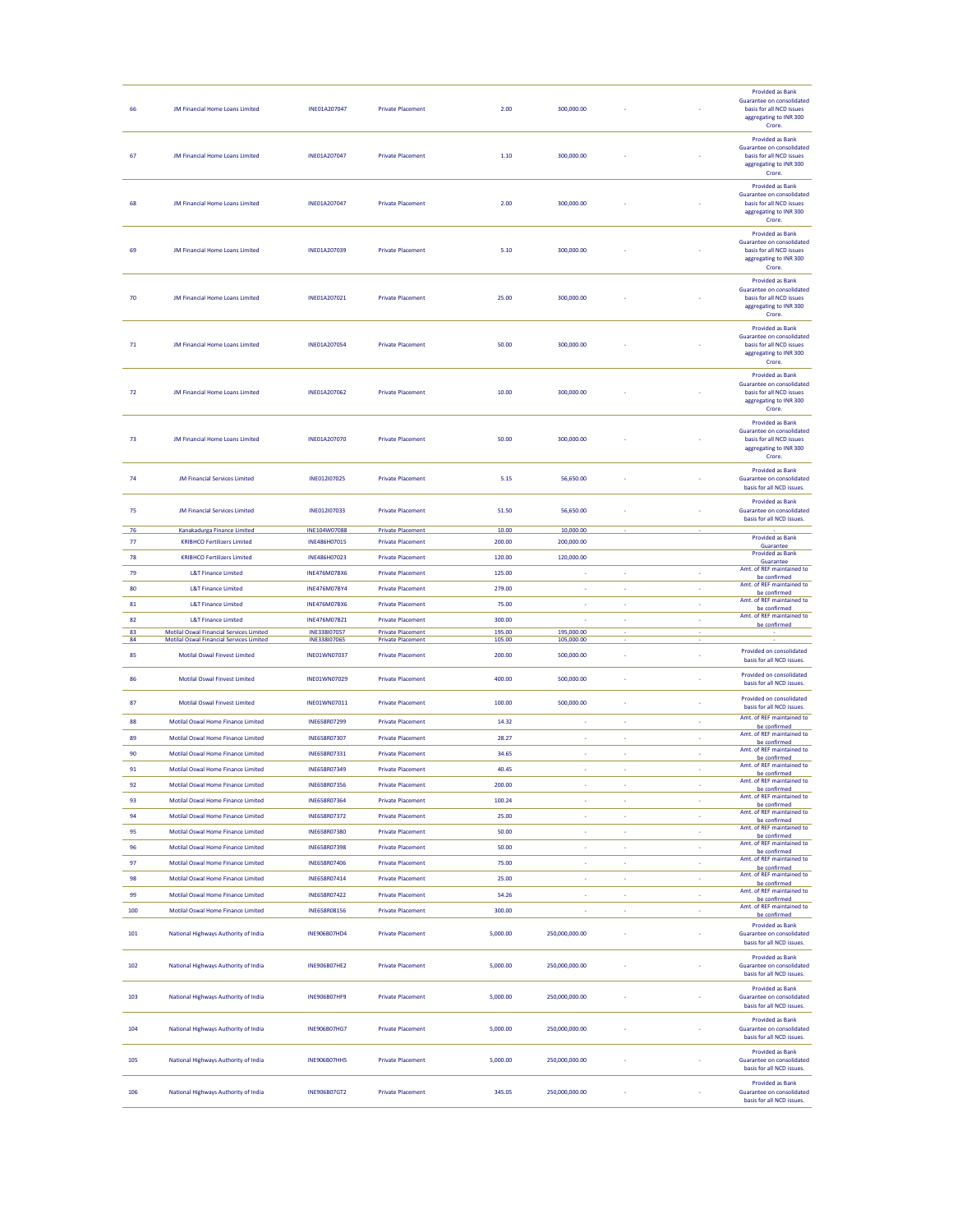| 66         | <b>JM Financial Home Loans Limited</b>                                                             | INE01A207047                        | <b>Private Placement</b>                             | 2.00             | 300,000.00               |    |        | <b>Provided as Bank</b><br>Guarantee on consolidated<br>basis for all NCD issues<br>aggregating to INR 300<br>Crore. |
|------------|----------------------------------------------------------------------------------------------------|-------------------------------------|------------------------------------------------------|------------------|--------------------------|----|--------|----------------------------------------------------------------------------------------------------------------------|
| 67         | <b>JM Financial Home Loans Limited</b>                                                             | INE01A207047                        | <b>Private Placement</b>                             | 1.10             | 300,000.00               |    |        | <b>Provided as Bank</b><br>Guarantee on consolidated<br>basis for all NCD issues<br>aggregating to INR 300<br>Crore. |
| 68         | <b>JM Financial Home Loans Limited</b>                                                             | INE01A207047                        | <b>Private Placement</b>                             | 2.00             | 300,000.00               |    |        | <b>Provided as Bank</b><br>Guarantee on consolidated<br>basis for all NCD issues<br>aggregating to INR 300<br>Crore. |
| 69         | JM Financial Home Loans Limited                                                                    | INE01A207039                        | <b>Private Placement</b>                             | 5.10             | 300,000.00               |    |        | <b>Provided as Bank</b><br>Guarantee on consolidated<br>basis for all NCD issues<br>aggregating to INR 300<br>Crore. |
| 70         | JM Financial Home Loans Limited                                                                    | INF01A207021                        | <b>Private Placement</b>                             | 25.00            | 300,000.00               |    |        | <b>Provided as Bank</b><br>Guarantee on consolidated<br>basis for all NCD issues<br>aggregating to INR 300<br>Crore. |
| $71\,$     | <b>JM Financial Home Loans Limited</b>                                                             | INE01A207054                        | <b>Private Placement</b>                             | 50.00            | 300,000.00               |    |        | <b>Provided as Bank</b><br>Guarantee on consolidated<br>basis for all NCD issues<br>aggregating to INR 300<br>Crore. |
| ${\bf 72}$ | <b>JM Financial Home Loans Limited</b>                                                             | INE01A207062                        | <b>Private Placement</b>                             | 10.00            | 300,000.00               |    |        | <b>Provided as Bank</b><br>Guarantee on consolidated<br>basis for all NCD issues<br>aggregating to INR 300<br>Crore. |
| 73         | <b>JM Financial Home Loans Limited</b>                                                             | INE01A207070                        | <b>Private Placement</b>                             | 50.00            | 300,000.00               |    |        | <b>Provided as Bank</b><br>Guarantee on consolidated<br>basis for all NCD issues<br>aggregating to INR 300<br>Crore. |
| 74         | <b>IM Financial Services Limited</b>                                                               | INE012I07025                        | <b>Private Placement</b>                             | 5.15             | 56,650.00                |    |        | <b>Provided as Bank</b><br>Guarantee on consolidated<br>basis for all NCD issues.                                    |
| 75         | <b>JM Financial Services Limited</b>                                                               | INE012I07033                        | <b>Private Placement</b>                             | 51.50            | 56,650.00                |    |        | <b>Provided as Bank</b><br>Guarantee on consolidated<br>hasis for all NCD issues.                                    |
| - 76       | Kanakadurga Finance Limited                                                                        | INE104W07088                        | <b>Private Placement</b>                             | 10.00            | 10,000.00                |    |        |                                                                                                                      |
| 77         | <b>KRIBHCO Fertilizers Limited</b>                                                                 | INE486H07015                        | <b>Private Placement</b>                             | 200.00           | 200,000.00               |    |        | <b>Provided as Bank</b><br>Guarantee                                                                                 |
| 78         | <b>KRIBHCO Fertilizers Limited</b>                                                                 | INE486H07023                        | <b>Private Placement</b>                             | 120.00           | 120,000.00               |    |        | <b>Provided as Bank</b><br>Guarantee                                                                                 |
| 79         | <b>L&amp;T Finance Limited</b>                                                                     | <b>INE476M07BX6</b>                 | <b>Private Placement</b>                             | 125.00           | ×                        | ×  | ×      | Amt. of REF maintained to                                                                                            |
| 80         | <b>L&amp;T Finance Limited</b>                                                                     | INE476M07BY4                        | <b>Private Placement</b>                             | 279.00           | ×                        | ä, | ÷      | be confirmed<br>Amt. of REF maintained to                                                                            |
|            |                                                                                                    |                                     |                                                      |                  |                          | k, | ÷      | be confirmed<br>Amt. of REF maintained to                                                                            |
|            |                                                                                                    |                                     |                                                      |                  |                          |    |        |                                                                                                                      |
| ${\bf 81}$ | <b>L&amp;T Finance Limited</b>                                                                     | INE476M07BX6                        | <b>Private Placement</b>                             | 75.00            | k,                       |    |        | be confirmed                                                                                                         |
| 82         | <b>L&amp;T Finance Limited</b>                                                                     | INE476M07BZ1                        | <b>Private Placement</b>                             | 300.00           | ×                        | ä, | $\Box$ | Amt. of REF maintained to<br>be confirmed                                                                            |
| 83<br>84   | <b>Motilal Oswal Financial Services Limited</b><br><b>Motilal Oswal Financial Services Limited</b> | INE338107057<br>INE338107065        | <b>Private Placement</b><br><b>Private Placement</b> | 195.00<br>105.00 | 195,000.00<br>105,000.00 |    |        |                                                                                                                      |
| 85         | <b>Motilal Oswal Finvest Limited</b>                                                               | INE01WN07037                        | <b>Private Placement</b>                             | 200.00           | 500,000.00               |    |        | Provided on consolidated                                                                                             |
| 86         | <b>Motilal Oswal Finvest Limited</b>                                                               | INE01WN07029                        | <b>Private Placement</b>                             | 400.00           | 500,000.00               |    |        | basis for all NCD issues.<br>Provided on consolidated                                                                |
| 87         | <b>Motilal Oswal Finvest Limited</b>                                                               | INE01WN07011                        | <b>Private Placement</b>                             | 100.00           | 500,000.00               |    |        | basis for all NCD issues.<br>Provided on consolidated<br>basis for all NCD issues.                                   |
| 88         | Motilal Oswal Home Finance Limited                                                                 | INE658R07299                        | <b>Private Placement</b>                             | 14.32            | ×                        | ×  | ×      | Amt. of REF maintained to                                                                                            |
| 89         | Motilal Oswal Home Finance Limited                                                                 | INE658R07307                        | <b>Private Placement</b>                             | 28.27            | J.                       | ä, | ÷      | be confirmed<br>Amt. of REF maintained to                                                                            |
| 90         | Motilal Oswal Home Finance Limited                                                                 | INE658R07331                        | <b>Private Placement</b>                             | 34.65            |                          | ×, | ×      | be confirmed<br>Amt. of REF maintained to                                                                            |
| 91         | Motilal Oswal Home Finance Limited                                                                 | INE658R07349                        | <b>Private Placement</b>                             | 40.45            | ×                        | ×  | ×      | be confirmed<br>Amt. of REF maintained to                                                                            |
| 92         | Motilal Oswal Home Finance Limited                                                                 | INE658R07356                        | <b>Private Placement</b>                             | 200.00           |                          |    |        | be confirmed                                                                                                         |
| 93         | Motilal Oswal Home Finance Limited                                                                 | INE658R07364                        | <b>Private Placement</b>                             | 100.24           | k,                       | ï  | ÷      | be confirmed<br>Amt. of REF maintained to                                                                            |
| 94         | Motilal Oswal Home Finance Limited                                                                 | INE658R07372                        | <b>Private Placement</b>                             | 25.00            | k,                       | k, | $\Box$ | be confirmed<br>Amt. of REF maintained to                                                                            |
| 95         | Motilal Oswal Home Finance Limited                                                                 |                                     |                                                      |                  | ×                        | ×  | ×.     | be confirmed<br>Amt. of REF maintained to                                                                            |
|            |                                                                                                    | INE658R07380<br><b>INF658807398</b> | <b>Private Placement</b>                             | 50.00            |                          |    |        | be confirmed<br>Amt. of REF maintained to                                                                            |
| 96         | Motilal Oswal Home Finance Limited                                                                 |                                     | <b>Private Placement</b>                             | 50.00            | $\sim$                   | ÷  | ÷      | be confirmed<br>Amt. of REF maintained to                                                                            |
| 97         | Motilal Oswal Home Finance Limited                                                                 | INE658R07406                        | <b>Private Placement</b>                             | 75.00            | ÷                        | ÷  | ×,     | be confirmed<br>Amt. of REF maintained to                                                                            |
| 98         | Motilal Oswal Home Finance Limited                                                                 | INE658R07414                        | <b>Private Placement</b>                             | 25.00            | k,                       | ï  | k,     | be confirmed                                                                                                         |
| 99         | Motilal Oswal Home Finance Limited                                                                 | INE658R07422                        | <b>Private Placement</b>                             | 54.26            | ×,                       | ä, | ×      | Amt. of REF maintained to<br>be confirmed                                                                            |
| 100        | Motilal Oswal Home Finance Limited                                                                 | INE658R08156                        | <b>Private Placement</b>                             | 300.00           | ł,                       | ł, | ÷      | Amt. of REF maintained to<br>be confirmed                                                                            |
| 101        | National Highways Authority of India                                                               | INE906B07HD4                        | <b>Private Placement</b>                             | 5,000.00         | 250,000,000.00           |    |        | <b>Provided as Bank</b><br>Guarantee on consolidated<br>basis for all NCD issues.                                    |
| 102        | National Highways Authority of India                                                               | <b>INE906B07HE2</b>                 | <b>Private Placement</b>                             | 5,000.00         | 250,000,000.00           |    |        | <b>Provided as Bank</b><br>Guarantee on consolidated<br>basis for all NCD issues.                                    |
| 103        | National Highways Authority of India                                                               | <b>INE906B07HF9</b>                 | <b>Private Placement</b>                             | 5,000.00         | 250,000,000.00           |    |        | <b>Provided as Bank</b><br>Guarantee on consolidated<br>basis for all NCD issues.                                    |
| 104        | National Highways Authority of India                                                               | INE906B07HG7                        | <b>Private Placement</b>                             | 5,000.00         | 250,000,000.00           |    |        | <b>Provided as Bank</b><br>Guarantee on consolidated<br>basis for all NCD issues.                                    |
| 105        | National Highways Authority of India                                                               | <b>INE906B07HH5</b>                 | <b>Private Placement</b>                             | 5,000.00         | 250,000,000.00           |    |        | <b>Provided as Bank</b><br>Guarantee on consolidated<br>basis for all NCD issues.                                    |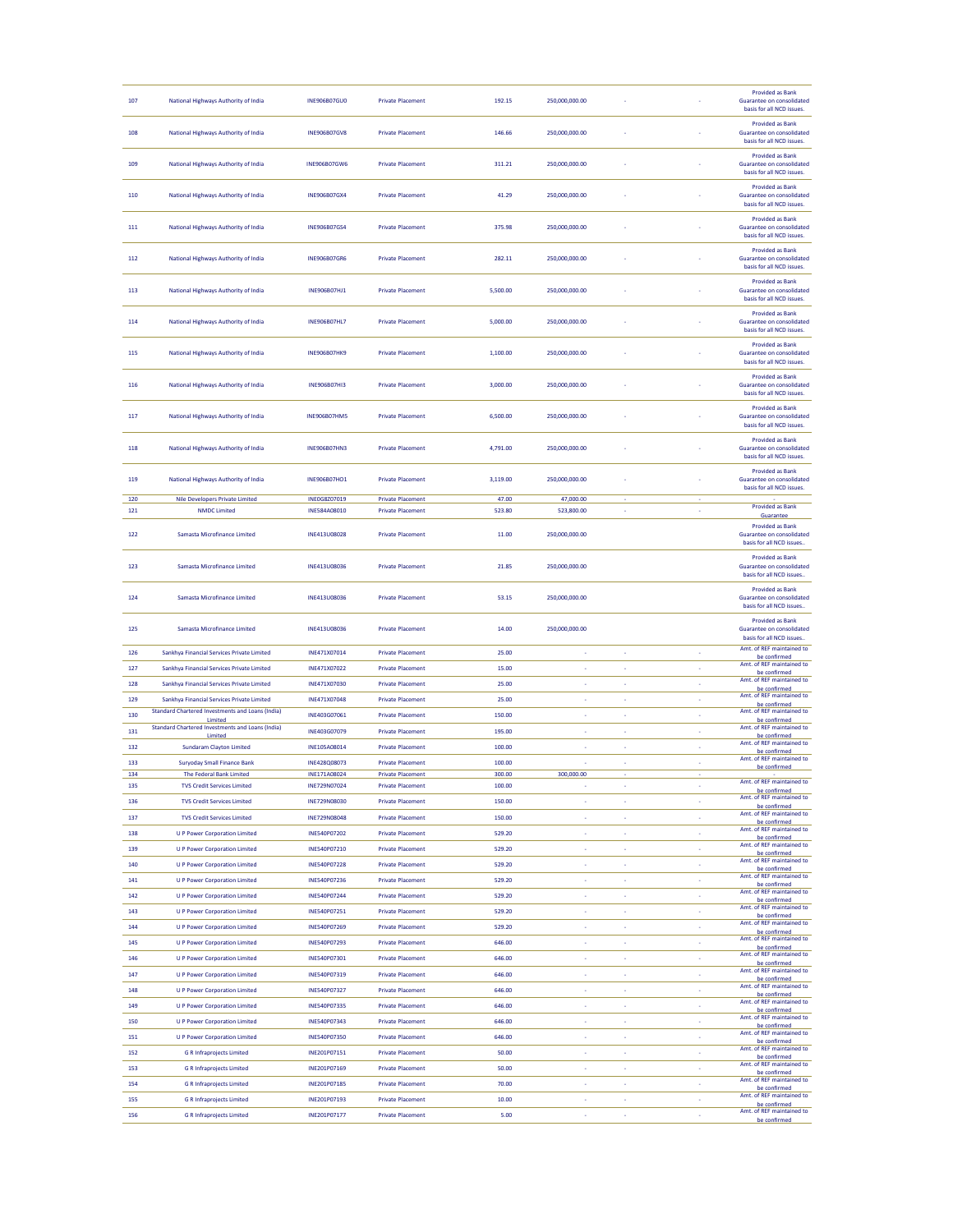| 107 | National Highways Authority of India                               | <b>INE906B07GU0</b> | <b>Private Placement</b> | 192.15   | 250,000,000.00 |    |                          | <b>Provided as Bank</b><br>Guarantee on consolidated<br>basis for all NCD issues. |
|-----|--------------------------------------------------------------------|---------------------|--------------------------|----------|----------------|----|--------------------------|-----------------------------------------------------------------------------------|
| 108 | National Highways Authority of India                               | <b>INE906B07GV8</b> | <b>Private Placement</b> | 146.66   | 250,000,000.00 |    |                          | <b>Provided as Bank</b><br>Guarantee on consolidated<br>basis for all NCD issues. |
| 109 | National Highways Authority of India                               | INE906B07GW6        | <b>Private Placement</b> | 311.21   | 250,000,000.00 |    |                          | <b>Provided as Bank</b><br>Guarantee on consolidated<br>basis for all NCD issues. |
| 110 | National Highways Authority of India                               | <b>INE906B07GX4</b> | <b>Private Placement</b> | 41.29    | 250,000,000.00 |    |                          | <b>Provided as Bank</b><br>Guarantee on consolidated<br>basis for all NCD issues. |
| 111 | National Highways Authority of India                               | INE906B07GS4        | <b>Private Placement</b> | 375.98   | 250,000,000.00 |    |                          | <b>Provided as Bank</b><br>Guarantee on consolidated<br>basis for all NCD issues. |
| 112 | National Highways Authority of India                               | <b>INE906B07GR6</b> | <b>Private Placement</b> | 282.11   | 250,000,000.00 |    |                          | <b>Provided as Bank</b><br>Guarantee on consolidated<br>basis for all NCD issues. |
| 113 | National Highways Authority of India                               | INE906B07HJ1        | <b>Private Placement</b> | 5,500.00 | 250.000.000.00 |    |                          | <b>Provided as Bank</b><br>Guarantee on consolidated<br>hasis for all NCD issues. |
| 114 | National Highways Authority of India                               | <b>INE906B07HL7</b> | <b>Private Placement</b> | 5,000.00 | 250,000,000.00 |    |                          | <b>Provided as Bank</b><br>Guarantee on consolidated<br>basis for all NCD issues. |
| 115 | National Highways Authority of India                               | <b>INE906B07HK9</b> | <b>Private Placement</b> | 1,100.00 | 250,000,000.00 |    |                          | <b>Provided as Bank</b><br>Guarantee on consolidated<br>basis for all NCD issues. |
| 116 | National Highways Authority of India                               | <b>INE906B07HI3</b> | <b>Private Placement</b> | 3,000.00 | 250,000,000.00 |    |                          | <b>Provided as Bank</b><br>Guarantee on consolidated<br>basis for all NCD issues. |
| 117 | National Highways Authority of India                               | <b>INE906B07HM5</b> | <b>Private Placement</b> | 6,500.00 | 250,000,000.00 |    |                          | <b>Provided as Bank</b><br>Guarantee on consolidated<br>basis for all NCD issues. |
| 118 | National Highways Authority of India                               | <b>INE906B07HN3</b> | <b>Private Placement</b> | 4,791.00 | 250,000,000,00 |    |                          | <b>Provided as Bank</b><br>Guarantee on consolidated<br>basis for all NCD issues. |
| 119 | National Highways Authority of India                               | INE906B07HO1        | <b>Private Placement</b> | 3,119.00 | 250,000,000.00 |    |                          | <b>Provided as Bank</b><br>Guarantee on consolidated<br>hasis for all NCD issues  |
| 120 | <b>Nile Developers Private Limited</b>                             | INE0G8Z07019        | <b>Private Placement</b> | 47.00    | 47,000.00      |    |                          |                                                                                   |
| 121 | <b>NMDC Limited</b>                                                | INE584A08010        | <b>Private Placement</b> | 523.80   | 523,800.00     |    | ÷                        | <b>Provided as Bank</b><br>Guarantee                                              |
| 122 | Samasta Microfinance Limited                                       | INE413U08028        | <b>Private Placement</b> | 11.00    | 250,000,000.00 |    |                          | <b>Provided as Bank</b><br>Guarantee on consolidated<br>basis for all NCD issues  |
| 123 | Samasta Microfinance Limited                                       | INE413U08036        | <b>Private Placement</b> | 21.85    | 250,000,000.00 |    |                          | <b>Provided as Bank</b><br>Guarantee on consolidated<br>basis for all NCD issues  |
| 124 | Samasta Microfinance Limited                                       | INE413U08036        | <b>Private Placement</b> | 53.15    | 250,000,000.00 |    |                          | <b>Provided as Bank</b><br>Guarantee on consolidated<br>basis for all NCD issues  |
| 125 | Samasta Microfinance Limited                                       | INE413U08036        | <b>Private Placement</b> | 14.00    | 250,000,000.00 |    |                          | <b>Provided as Bank</b><br>Guarantee on consolidated<br>basis for all NCD issues. |
| 126 | Sankhya Financial Services Private Limited                         | INE471X07014        | <b>Private Placement</b> | 25.00    | k,             |    |                          | Amt. of REF maintained to<br>be confirmed                                         |
| 127 | Sankhya Financial Services Private Limited                         | INE471X07022        | <b>Private Placement</b> | 15.00    | k,             | k, | ×                        | Amt. of REF maintained to<br>be confirmed                                         |
| 128 | Sankhya Financial Services Private Limited                         | INE471X07030        | <b>Private Placement</b> | 25.00    | ×              | ×  | ×                        | Amt. of REF maintained to<br>be confirmed                                         |
| 129 | Sankhya Financial Services Private Limited                         | INE471X07048        | <b>Private Placement</b> | 25.00    | ×.             | ä, | ×.                       | Amt. of REF maintained to<br>be confirmed                                         |
| 130 | Standard Chartered Investments and Loans (India)                   | INE403G07061        | <b>Private Placement</b> | 150.00   | ł,             | í, | ÷                        | Amt. of REF maintained to                                                         |
| 131 | Limited<br><b>Standard Chartered Investments and Loans (India)</b> | INE403G07079        | <b>Private Placement</b> | 195.00   | ×              | ×  | ×.                       | be confirmed<br>Amt. of REF maintained to                                         |
| 132 | Limited<br><b>Sundaram Clayton Limited</b>                         | INE105A08014        | <b>Private Placement</b> | 100.00   | ×,             | ÷  | ×.                       | be confirmed<br>Amt. of REF maintained to                                         |
| 133 | <b>Suryoday Small Finance Bank</b>                                 | INE428Q08073        | <b>Private Placement</b> | 100.00   |                | ÷  | ÷,                       | be confirmed<br>Amt. of REF maintained to                                         |
| 134 | The Federal Bank Limited                                           | INE171A08024        | <b>Private Placement</b> | 300.00   | 300,000.00     |    |                          | be confirmed                                                                      |
| 135 | <b>TVS Credit Services Limited</b>                                 | INE729N07024        | <b>Private Placement</b> | 100.00   |                |    | ×                        | Amt. of REF<br>be confirmed                                                       |
| 136 | <b>TVS Credit Services Limited</b>                                 | INE729N08030        | <b>Private Placement</b> | 150.00   | k,             | k, | ÷                        | Amt. of REF maintained to<br>be confirmed                                         |
| 137 | <b>TVS Credit Services Limited</b>                                 | INE729N08048        | <b>Private Placement</b> | 150.00   | ×              | ×  | ÷                        | Amt. of REF maintained to<br>be confirmed                                         |
| 138 | <b>U P Power Corporation Limited</b>                               | <b>INE540P07202</b> | <b>Private Placement</b> | 529.20   | ×              | ä, | ×                        | Amt. of REF maintained to<br>be confirmed                                         |
| 139 | <b>U P Power Corporation Limited</b>                               | INE540P07210        | <b>Private Placement</b> | 529.20   | ä,             | ä, | ÷                        | Amt. of REF maintained to                                                         |
| 140 | <b>U P Power Corporation Limited</b>                               | INE540P07228        | <b>Private Placement</b> | 529.20   | ×,             | k, | $\Box$                   | be confirmed<br>Amt. of REF maintained to                                         |
| 141 | <b>U P Power Corporation Limited</b>                               | INE540P07236        | <b>Private Placement</b> | 529.20   | ×              | ×  | ×                        | be confirmed<br>Amt. of REF maintained to                                         |
| 142 | <b>U P Power Corporation Limited</b>                               | <b>INE540P07244</b> | <b>Private Placement</b> | 529.20   | ÷              | ÷  | $\overline{\phantom{a}}$ | be confirmed<br>Amt. of REF maintained to                                         |
| 143 | <b>U P Power Corporation Limited</b>                               | INE540P07251        | <b>Private Placement</b> | 529.20   | ł,             | ł, | ×,                       | be confirmed<br>Amt. of REF maintained to                                         |
| 144 |                                                                    | INE540P07269        | <b>Private Placement</b> | 529.20   | k,             | k, | ä,                       | be confirmed<br>Amt. of REF maintained to                                         |
|     | <b>U P Power Corporation Limited</b>                               | INE540P07293        |                          | 646.00   |                |    |                          | be confirmed<br>Amt. of REF maintained to                                         |
| 145 | <b>U P Power Corporation Limited</b>                               |                     | <b>Private Placement</b> |          | $\sim$         | ÷  | $\overline{\phantom{a}}$ | be confirmed<br>Amt. of REF maintained to                                         |
| 146 | <b>U P Power Corporation Limited</b>                               | INE540P07301        | <b>Private Placement</b> | 646.00   | ÷              | ł, | ×,                       | be confirmed<br>Amt. of REF maintained to                                         |
| 147 | <b>U P Power Corporation Limited</b>                               | INE540P07319        | <b>Private Placement</b> | 646.00   | ÷              | ÷  | ÷                        | be confirmed<br>Amt. of REF maintained to                                         |
| 148 | <b>U P Power Corporation Limited</b>                               | INE540P07327        | <b>Private Placement</b> | 646.00   | ×              | ×  | ×                        | be confirmed<br>Amt. of REF maintained to                                         |
| 149 | <b>U P Power Corporation Limited</b>                               | INE540P07335        | <b>Private Placement</b> | 646.00   | ×,             | ä, | ×,                       | be confirmed<br>Amt. of REF maintained to                                         |
| 150 | <b>U P Power Corporation Limited</b>                               | INE540P07343        | <b>Private Placement</b> | 646.00   | ×,             | ä, | ×,                       | be confirmed                                                                      |
| 151 | <b>U P Power Corporation Limited</b>                               | INE540P07350        | <b>Private Placement</b> | 646.00   | ł.             | ä, | ×                        | Amt. of REF maintained to<br>be confirmed                                         |
| 152 | <b>G R Infraprojects Limited</b>                                   | INE201P07151        | <b>Private Placement</b> | 50.00    | ×              | ×  | ÷                        | Amt. of REF maintained to<br>be confirmed                                         |
| 153 | <b>G R Infraprojects Limited</b>                                   | INE201P07169        | <b>Private Placement</b> | 50.00    | ×,             | ×  | ×,                       | Amt. of REF maintained to<br>be confirmed                                         |
| 154 | <b>G R Infraprojects Limited</b>                                   | INE201P07185        | <b>Private Placement</b> | 70.00    | k,             | k, | ×                        | Amt. of REF maintained to<br>be confirmed                                         |
| 155 | <b>G R Infraprojects Limited</b>                                   | INE201P07193        | <b>Private Placement</b> | 10.00    | ×,             | ×  | ×                        | Amt. of REF maintained to<br>be confirmed                                         |
| 156 | <b>G R Infraprojects Limited</b>                                   | INE201P07177        | <b>Private Placement</b> | 5.00     | ×              | ×, | ×,                       | Amt. of REF maintained to<br>be confirmed                                         |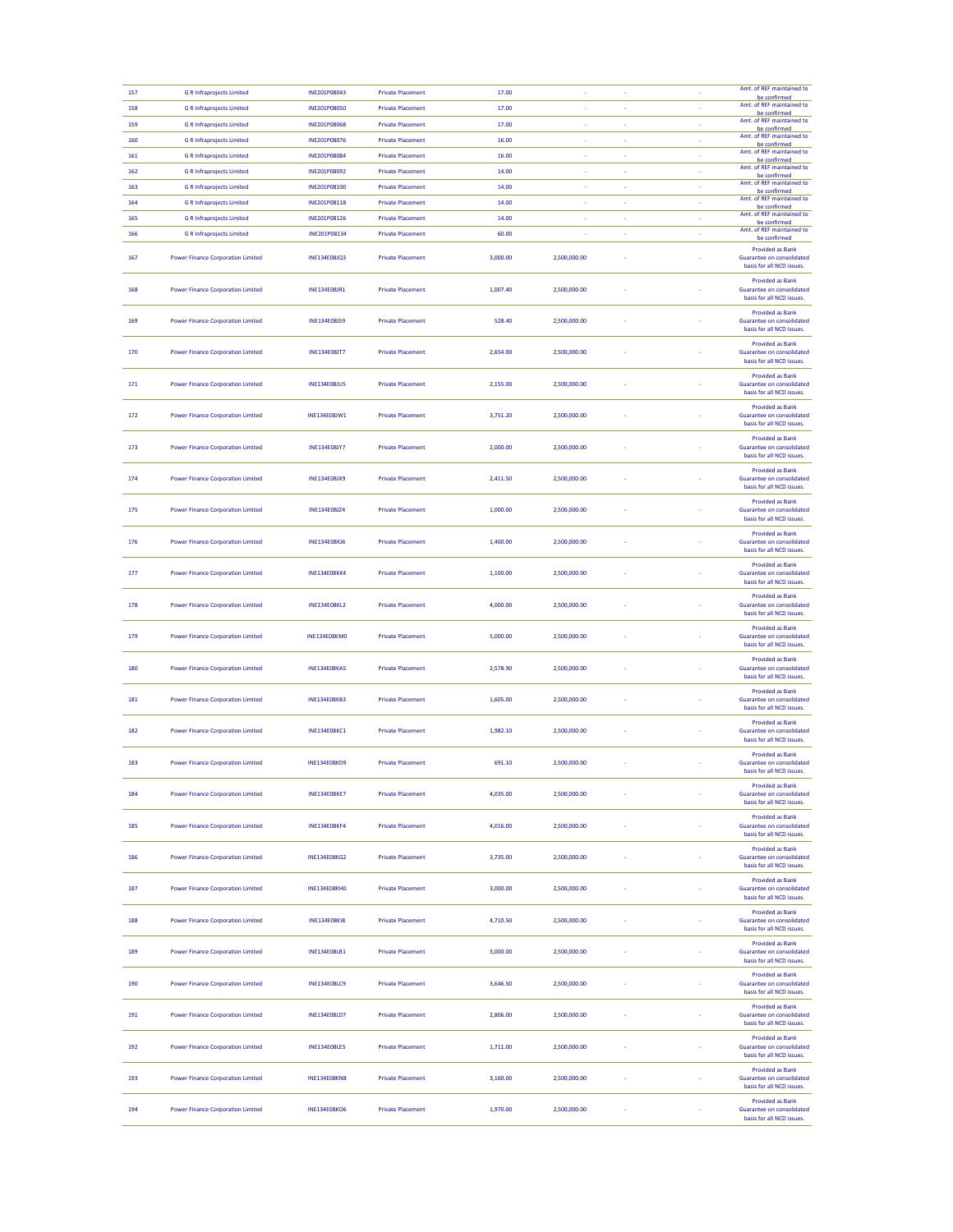| 157 | <b>G R Infraprojects Limited</b>         | INE201P08043        | <b>Private Placement</b> | 17.00    |              |    |    | Amt. of REF maintained to<br>be confirmed                                                |
|-----|------------------------------------------|---------------------|--------------------------|----------|--------------|----|----|------------------------------------------------------------------------------------------|
| 158 | <b>G R Infraprojects Limited</b>         | INE201P08050        | <b>Private Placement</b> | 17.00    |              |    |    | Amt. of REF maintained to<br>be confirmed                                                |
| 159 | <b>G R Infraprojects Limited</b>         | INE201P08068        | <b>Private Placement</b> | 17.00    | ×,           | ×  | ×  | Amt. of REF maintained to<br>be confirmed                                                |
| 160 | <b>G R Infraprojects Limited</b>         | INE201P08076        | <b>Private Placement</b> | 16.00    | ×,           | ×  | ×, | Amt. of REF maintained to<br>be confirmed                                                |
| 161 | <b>G R Infraprojects Limited</b>         | INE201P08084        | <b>Private Placement</b> | 16.00    | ٠            |    | ×, | Amt. of REF maintained to<br>be confirmed                                                |
| 162 | <b>G R Infraprojects Limited</b>         | INE201P08092        | <b>Private Placement</b> | 14.00    | ×            | ä, | ×  | Amt. of REF maintained to<br>be confirmed                                                |
| 163 | <b>G R Infraprojects Limited</b>         | INE201P08100        | <b>Private Placement</b> | 14.00    | $\sim$       | ×  | k, | Amt. of REF maintained to<br>be confirmed                                                |
| 164 | <b>G R Infraprojects Limited</b>         | INE201P08118        | <b>Private Placement</b> | 14.00    | ٠            | ÷  | k, | Amt. of REF maintained to<br>be confirmed                                                |
| 165 | <b>G R Infraprojects Limited</b>         | INE201P08126        | <b>Private Placement</b> | 14.00    | ł.           | ä, | k, | Amt. of REF maintained to<br>be confirmed                                                |
| 166 | <b>G R Infraprojects Limited</b>         | INE201P08134        | <b>Private Placement</b> | 60.00    | ×,           | ×  | ×  | Amt. of REF maintained to<br>be confirmed                                                |
| 167 | <b>Power Finance Corporation Limited</b> | INE134E08JQ3        | <b>Private Placement</b> | 3,000.00 | 2,500,000.00 |    |    | <b>Provided as Bank</b><br>Guarantee on consolidated<br>basis for all NCD issues.        |
| 168 | <b>Power Finance Corporation Limited</b> | INE134E08JR1        | <b>Private Placement</b> | 1,007.40 | 2,500,000.00 |    |    | <b>Provided as Bank</b><br>Guarantee on consolidated<br>basis for all NCD issues.        |
| 169 | <b>Power Finance Corporation Limited</b> | INE134E08JS9        | <b>Private Placement</b> | 528.40   | 2,500,000.00 |    |    | <b>Provided as Bank</b><br>Guarantee on consolidated<br>basis for all NCD issues.        |
| 170 | <b>Power Finance Corporation Limited</b> | <b>INE134E08JT7</b> | <b>Private Placement</b> | 2,654.00 | 2.500.000.00 |    |    | <b>Provided as Bank</b><br>Guarantee on consolidated<br>basis for all NCD issues.        |
| 171 | <b>Power Finance Corporation Limited</b> | <b>INE134E08JU5</b> | <b>Private Placement</b> | 2,155.00 | 2,500,000.00 |    |    | <b>Provided as Bank</b><br>Guarantee on consolidated<br>basis for all NCD issues.        |
| 172 | <b>Power Finance Corporation Limited</b> | INE134E08JW1        | <b>Private Placement</b> | 3,751.20 | 2,500,000.00 |    |    | <b>Provided as Bank</b><br>Guarantee on consolidated<br>basis for all NCD issues.        |
| 173 | <b>Power Finance Corporation Limited</b> | INE134E08JY7        | <b>Private Placement</b> | 2,000.00 | 2,500,000.00 |    |    | <b>Provided as Bank</b><br><b>Guarantee on consolidated</b><br>basis for all NCD issues. |
| 174 | <b>Power Finance Corporation Limited</b> | <b>INE134E08JX9</b> | <b>Private Placement</b> | 2,411.50 | 2.500.000.00 |    |    | <b>Provided as Bank</b><br>Guarantee on consolidated                                     |
| 175 | <b>Power Finance Corporation Limited</b> | INE134E08JZ4        | <b>Private Placement</b> | 1,000.00 | 2,500,000.00 |    |    | basis for all NCD issues.<br><b>Provided as Bank</b><br>Guarantee on consolidated        |
|     |                                          |                     |                          |          |              |    |    | basis for all NCD issues.<br><b>Provided as Bank</b>                                     |
| 176 | <b>Power Finance Corporation Limited</b> | <b>INE134E08KJ6</b> | <b>Private Placement</b> | 1,400.00 | 2,500,000.00 |    |    | Guarantee on consolidated<br>basis for all NCD issues.<br><b>Provided as Bank</b>        |
| 177 | <b>Power Finance Corporation Limited</b> | <b>INE134E08KK4</b> | <b>Private Placement</b> | 1,100.00 | 2,500,000.00 |    |    | Guarantee on consolidated<br>basis for all NCD issues.<br><b>Provided as Bank</b>        |
| 178 | <b>Power Finance Corporation Limited</b> | <b>INE134E08KL2</b> | <b>Private Placement</b> | 4,000.00 | 2,500,000.00 |    |    | Guarantee on consolidated<br>basis for all NCD issues.<br><b>Provided as Bank</b>        |
| 179 | <b>Power Finance Corporation Limited</b> | <b>INE134E08KM0</b> | <b>Private Placement</b> | 5,000.00 | 2,500,000.00 |    |    | Guarantee on consolidated<br>basis for all NCD issues.                                   |
| 180 | <b>Power Finance Corporation Limited</b> | INE134E08KA5        | <b>Private Placement</b> | 2,578.90 | 2,500,000.00 |    |    | <b>Provided as Bank</b><br>Guarantee on consolidated<br>basis for all NCD issues.        |
| 181 | <b>Power Finance Corporation Limited</b> | <b>INE134E08KB3</b> | <b>Private Placement</b> | 1,605.00 | 2,500,000.00 |    |    | <b>Provided as Bank</b><br>Guarantee on consolidated<br>basis for all NCD issues.        |
| 182 | <b>Power Finance Corporation Limited</b> | <b>INE134E08KC1</b> | <b>Private Placement</b> | 1,982.10 | 2,500,000.00 |    |    | <b>Provided as Bank</b><br>Guarantee on consolidated<br>basis for all NCD issues.        |
| 183 | <b>Power Finance Corporation Limited</b> | <b>INE134E08KD9</b> | <b>Private Placement</b> | 691.10   | 2,500,000.00 |    |    | <b>Provided as Bank</b><br>Guarantee on consolidated<br>basis for all NCD issues.        |
| 184 | <b>Power Finance Corporation Limited</b> | <b>INE134E08KE7</b> | <b>Private Placement</b> | 4,035.00 | 2,500,000.00 |    |    | <b>Provided as Bank</b><br>Guarantee on consolidated<br>basis for all NCD issues.        |
| 185 | <b>Power Finance Corporation Limited</b> | <b>INE134E08KF4</b> | <b>Private Placement</b> | 4,016.00 | 2,500,000.00 |    |    | <b>Provided as Bank</b><br>Guarantee on consolidated<br>basis for all NCD issues.        |
| 186 | <b>Power Finance Corporation Limited</b> | <b>INE134E08KG2</b> | <b>Private Placement</b> | 3,735.00 | 2,500,000.00 |    |    | <b>Provided as Bank</b><br><b>Guarantee on consolidated</b><br>basis for all NCD issues. |
| 187 | <b>Power Finance Corporation Limited</b> | <b>INE134E08KHO</b> | <b>Private Placement</b> | 3,000.00 | 2,500,000.00 |    |    | <b>Provided as Bank</b><br>Guarantee on consolidated<br>basis for all NCD issues.        |
| 188 | <b>Power Finance Corporation Limited</b> | <b>INE134E08KI8</b> | <b>Private Placement</b> | 4,710.50 | 2,500,000.00 |    |    | <b>Provided as Bank</b><br>Guarantee on consolidated<br>basis for all NCD issues.        |
| 189 | <b>Power Finance Corporation Limited</b> | <b>INE134E08LB1</b> | <b>Private Placement</b> | 3,000.00 | 2,500,000.00 |    |    | <b>Provided as Bank</b><br>Guarantee on consolidated<br>basis for all NCD issues.        |
| 190 | <b>Power Finance Corporation Limited</b> | <b>INE134E08LC9</b> | <b>Private Placement</b> | 3,646.50 | 2,500,000.00 |    |    | <b>Provided as Bank</b><br>Guarantee on consolidated<br>basis for all NCD issues.        |
| 191 | <b>Power Finance Corporation Limited</b> | <b>INE134E08LD7</b> | <b>Private Placement</b> | 2,806.00 | 2.500.000.00 |    |    | <b>Provided as Bank</b><br>Guarantee on consolidated<br>basis for all NCD issues.        |
| 192 | <b>Power Finance Corporation Limited</b> | INE134E08LE5        | <b>Private Placement</b> | 1,711.00 | 2,500,000.00 |    |    | <b>Provided as Bank</b><br>Guarantee on consolidated<br>basis for all NCD issues.        |
| 193 | <b>Power Finance Corporation Limited</b> | <b>INE134E08KN8</b> | <b>Private Placement</b> | 3,160.00 | 2,500,000.00 |    |    | <b>Provided as Bank</b><br>Guarantee on consolidated<br>basis for all NCD issues.        |
| 194 | <b>Power Finance Corporation Limited</b> | <b>INE134E08KO6</b> | <b>Private Placement</b> | 1,970.00 | 2,500,000.00 |    |    | <b>Provided as Bank</b><br><b>Guarantee on consolidated</b><br>basis for all NCD issues. |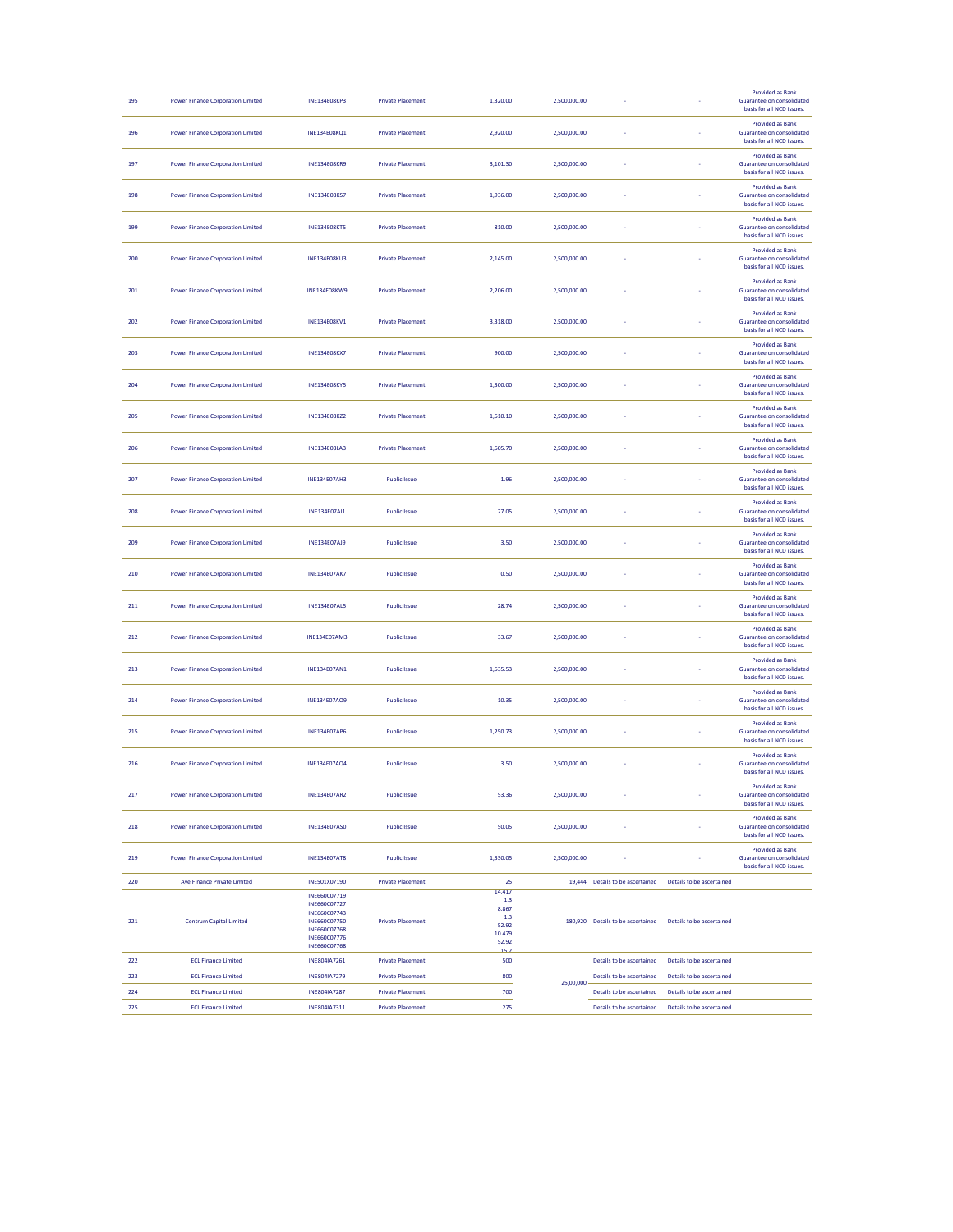| 195 | <b>Power Finance Corporation Limited</b> | <b>INE134E08KP3</b>          | <b>Private Placement</b> | 1,320.00      | 2,500,000.00 |                                   |                           | <b>Provided as Bank</b><br>Guarantee on consolidated<br>basis for all NCD issues.        |
|-----|------------------------------------------|------------------------------|--------------------------|---------------|--------------|-----------------------------------|---------------------------|------------------------------------------------------------------------------------------|
| 196 | <b>Power Finance Corporation Limited</b> | <b>INE134E08KQ1</b>          | <b>Private Placement</b> | 2,920.00      | 2,500,000.00 |                                   |                           | <b>Provided as Bank</b><br>Guarantee on consolidated<br>basis for all NCD issues.        |
| 197 | <b>Power Finance Corporation Limited</b> | <b>INE134E08KR9</b>          | <b>Private Placement</b> | 3,101.30      | 2,500,000.00 |                                   |                           | <b>Provided as Bank</b><br><b>Guarantee on consolidated</b><br>basis for all NCD issues. |
| 198 | <b>Power Finance Corporation Limited</b> | <b>INE134E08KS7</b>          | <b>Private Placement</b> | 1,936.00      | 2,500,000.00 |                                   |                           | <b>Provided as Bank</b><br>Guarantee on consolidated<br>basis for all NCD issues.        |
| 199 | <b>Power Finance Corporation Limited</b> | <b>INE134E08KT5</b>          | <b>Private Placement</b> | 810.00        | 2,500,000.00 |                                   |                           | <b>Provided as Bank</b><br>Guarantee on consolidated<br>basis for all NCD issues.        |
| 200 | <b>Power Finance Corporation Limited</b> | <b>INE134E08KU3</b>          | <b>Private Placement</b> | 2,145.00      | 2,500,000.00 |                                   |                           | <b>Provided as Bank</b><br>Guarantee on consolidated<br>basis for all NCD issues.        |
| 201 | <b>Power Finance Corporation Limited</b> | <b>INE134E08KW9</b>          | <b>Private Placement</b> | 2,206.00      | 2,500,000.00 |                                   |                           | <b>Provided as Bank</b><br><b>Guarantee on consolidated</b><br>basis for all NCD issues. |
| 202 | <b>Power Finance Corporation Limited</b> | <b>INE134E08KV1</b>          | <b>Private Placement</b> | 3,318.00      | 2,500,000.00 |                                   |                           | <b>Provided as Bank</b><br>Guarantee on consolidated<br>basis for all NCD issues.        |
| 203 | <b>Power Finance Corporation Limited</b> | <b>INE134E08KX7</b>          | <b>Private Placement</b> | 900.00        | 2,500,000.00 |                                   |                           | <b>Provided as Bank</b><br>Guarantee on consolidated<br>basis for all NCD issues.        |
| 204 | <b>Power Finance Corporation Limited</b> | <b>INE134E08KY5</b>          | <b>Private Placement</b> | 1,300.00      | 2,500,000.00 |                                   |                           | <b>Provided as Bank</b><br>Guarantee on consolidated<br>basis for all NCD issues.        |
| 205 | <b>Power Finance Corporation Limited</b> | <b>INE134E08KZ2</b>          | <b>Private Placement</b> | 1,610.10      | 2,500,000.00 |                                   |                           | <b>Provided as Bank</b><br>Guarantee on consolidated<br>basis for all NCD issues.        |
| 206 | <b>Power Finance Corporation Limited</b> | <b>INE134E08LA3</b>          | <b>Private Placement</b> | 1,605.70      | 2.500.000.00 |                                   |                           | <b>Provided as Bank</b><br>Guarantee on consolidated<br>basis for all NCD issues.        |
| 207 | <b>Power Finance Corporation Limited</b> | <b>INE134E07AH3</b>          | <b>Public Issue</b>      | 1.96          | 2,500,000.00 |                                   |                           | <b>Provided as Bank</b><br>Guarantee on consolidated<br>basis for all NCD issues.        |
| 208 | <b>Power Finance Corporation Limited</b> | <b>INE134E07AI1</b>          | <b>Public Issue</b>      | 27.05         | 2,500,000.00 |                                   |                           | <b>Provided as Bank</b><br>Guarantee on consolidated<br>basis for all NCD issues.        |
| 209 | <b>Power Finance Corporation Limited</b> | <b>INE134E07AJ9</b>          | <b>Public Issue</b>      | 3.50          | 2,500,000.00 |                                   |                           | <b>Provided as Bank</b><br>Guarantee on consolidated<br>basis for all NCD issues.        |
| 210 | <b>Power Finance Corporation Limited</b> | <b>INE134E07AK7</b>          | <b>Public Issue</b>      | 0.50          | 2,500,000.00 |                                   |                           | <b>Provided as Bank</b><br>Guarantee on consolidated<br>basis for all NCD issues.        |
| 211 | <b>Power Finance Corporation Limited</b> | <b>INE134E07AL5</b>          | <b>Public Issue</b>      | 28.74         | 2,500,000.00 |                                   |                           | <b>Provided as Bank</b><br>Guarantee on consolidated<br>basis for all NCD issues.        |
| 212 | <b>Power Finance Corporation Limited</b> | <b>INE134E07AM3</b>          | <b>Public Issue</b>      | 33.67         | 2,500,000.00 |                                   |                           | <b>Provided as Bank</b><br>Guarantee on consolidated<br>basis for all NCD issues.        |
| 213 | <b>Power Finance Corporation Limited</b> | <b>INE134E07AN1</b>          | <b>Public Issue</b>      | 1,635.53      | 2,500,000.00 |                                   |                           | <b>Provided as Bank</b><br>Guarantee on consolidated<br>basis for all NCD issues.        |
| 214 | <b>Power Finance Corporation Limited</b> | INE134E07AO9                 | <b>Public Issue</b>      | 10.35         | 2,500,000.00 |                                   |                           | <b>Provided as Bank</b><br><b>Guarantee on consolidated</b><br>hasis for all NCD issues  |
| 215 | <b>Power Finance Corporation Limited</b> | <b>INE134E07AP6</b>          | <b>Public Issue</b>      | 1,250.73      | 2,500,000.00 |                                   |                           | <b>Provided as Bank</b><br>Guarantee on consolidated<br>basis for all NCD issues.        |
| 216 | <b>Power Finance Corporation Limited</b> | INE134E07AQ4                 | <b>Public Issue</b>      | 3.50          | 2,500,000.00 |                                   |                           | <b>Provided as Bank</b><br>Guarantee on consolidated<br>basis for all NCD issues.        |
| 217 | <b>Power Finance Corporation Limited</b> | <b>INE134E07AR2</b>          | <b>Public Issue</b>      | 53.36         | 2,500,000.00 |                                   |                           | <b>Provided as Bank</b><br>Guarantee on consolidated<br>basis for all NCD issues.        |
| 218 | <b>Power Finance Corporation Limited</b> | <b>INE134E07AS0</b>          | <b>Public Issue</b>      | 50.05         | 2,500,000.00 |                                   |                           | <b>Provided as Bank</b><br>Guarantee on consolidated<br>basis for all NCD issues.        |
| 219 | <b>Power Finance Corporation Limited</b> | <b>INE134E07AT8</b>          | <b>Public Issue</b>      | 1,330.05      | 2,500,000.00 |                                   |                           | <b>Provided as Bank</b><br>Guarantee on consolidated<br>basis for all NCD issues.        |
| 220 | <b>Ave Finance Private Limited</b>       | INE501X07190                 | <b>Private Placement</b> | 25            |              | 19,444 Details to be ascertained  | Details to be ascertained |                                                                                          |
|     |                                          | INE660C07719                 |                          | 14.417<br>1.3 |              |                                   |                           |                                                                                          |
|     |                                          | INE660C07727<br>INE660C07743 |                          | 8.867         |              |                                   |                           |                                                                                          |
| 221 | <b>Centrum Capital Limited</b>           | INE660C07750                 | <b>Private Placement</b> | 1.3<br>52.92  |              | 180.920 Details to be ascertained | Details to be ascertained |                                                                                          |
|     |                                          | INE660C07768<br>INE660C07776 |                          | 10.479        |              |                                   |                           |                                                                                          |
|     |                                          | INE660C07768                 |                          | 52.92         |              |                                   |                           |                                                                                          |
| 222 | <b>ECL Finance Limited</b>               | INE804IA7261                 | <b>Private Placement</b> | 500           |              | Details to be ascertained         | Details to be ascertained |                                                                                          |
| 223 | <b>ECL Finance Limited</b>               | INE804IA7279                 | <b>Private Placement</b> | 800           | 25,00,000    | Details to be ascertained         | Details to be ascertained |                                                                                          |
| 224 | <b>ECL Finance Limited</b>               | INE804IA7287                 | <b>Private Placement</b> | 700           |              | Details to be ascertained         | Details to be ascertained |                                                                                          |
| 225 | <b>ECL Finance Limited</b>               | INE804IA7311                 | <b>Private Placement</b> | 275           |              | Details to be ascertained         | Details to be ascertained |                                                                                          |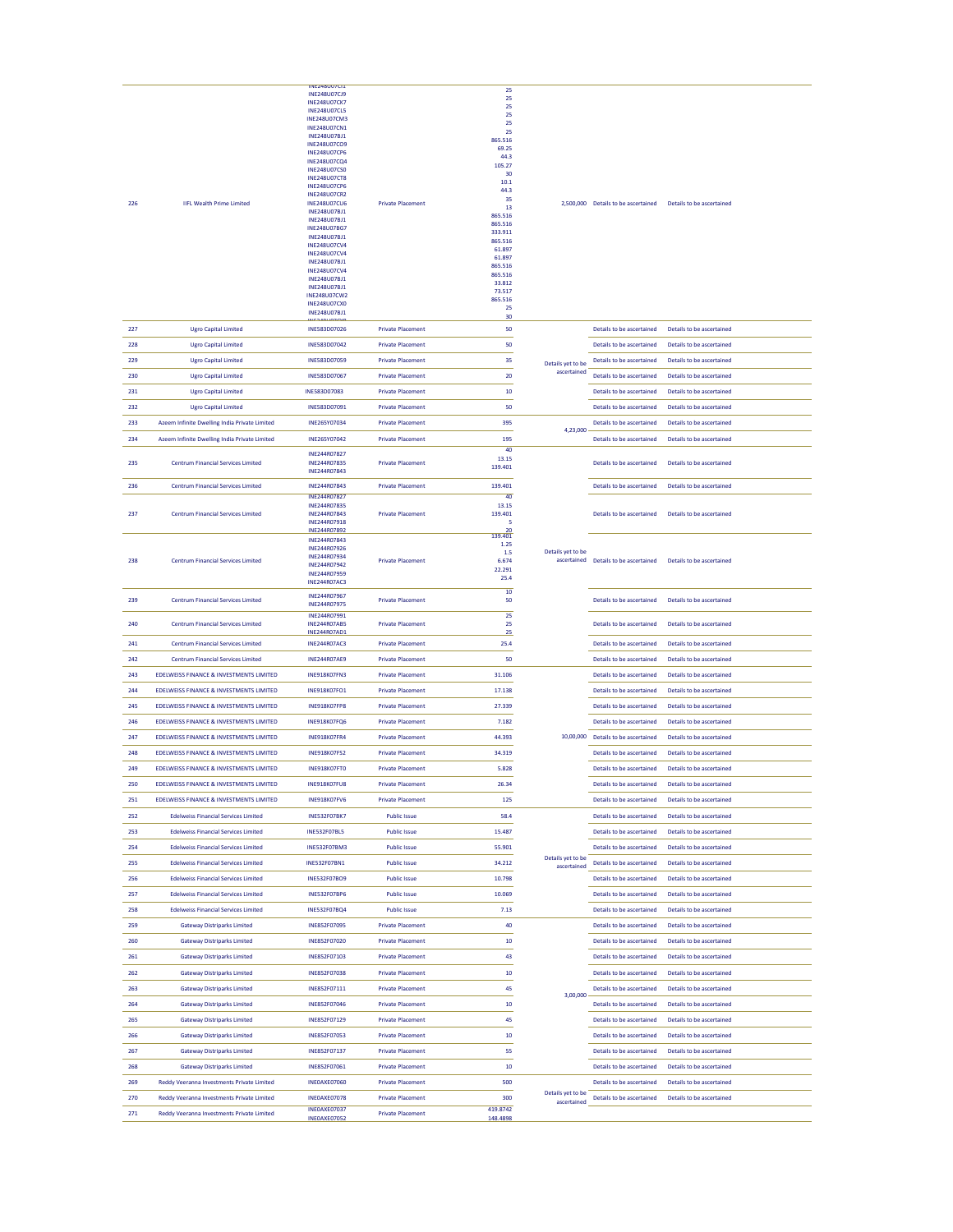|     |                                                    | <b>INEZ48007CI1</b>                 |                          |                    |                   |                                                               |                           |  |
|-----|----------------------------------------------------|-------------------------------------|--------------------------|--------------------|-------------------|---------------------------------------------------------------|---------------------------|--|
|     |                                                    | INE248U07CJ9                        |                          | 25                 |                   |                                                               |                           |  |
|     |                                                    | <b>INE248U07CK7</b>                 |                          | 25                 |                   |                                                               |                           |  |
|     |                                                    | <b>INE248U07CL5</b>                 |                          | 25                 |                   |                                                               |                           |  |
|     |                                                    | <b>INE248U07CM3</b>                 |                          | 25<br>25           |                   |                                                               |                           |  |
|     |                                                    | <b>INE248U07CN1</b>                 |                          | 25                 |                   |                                                               |                           |  |
|     |                                                    | INE248U07BJ1                        |                          | 865.516            |                   |                                                               |                           |  |
|     |                                                    | INE248U07CO9<br><b>INE248U07CP6</b> |                          | 69.25              |                   |                                                               |                           |  |
|     |                                                    | <b>INE248U07CQ4</b>                 |                          | 44.3               |                   |                                                               |                           |  |
|     |                                                    | <b>INE248U07CS0</b>                 |                          | 105.27             |                   |                                                               |                           |  |
|     |                                                    | <b>INE248U07CT8</b>                 |                          | 30                 |                   |                                                               |                           |  |
|     |                                                    | <b>INE248U07CP6</b>                 |                          | 10.1               |                   |                                                               |                           |  |
|     |                                                    | <b>INE248U07CR2</b>                 |                          | 44.3<br>35         |                   |                                                               |                           |  |
| 226 | <b>IIFL Wealth Prime Limited</b>                   | <b>INE248U07CU6</b>                 | <b>Private Placement</b> | 13                 |                   | 2,500,000 Details to be ascertained Details to be ascertained |                           |  |
|     |                                                    | INE248U07BJ1                        |                          | 865.516            |                   |                                                               |                           |  |
|     |                                                    | INE248U07BJ1                        |                          | 865.516            |                   |                                                               |                           |  |
|     |                                                    | INE248U07BG7<br>INE248U07BJ1        |                          | 333.911            |                   |                                                               |                           |  |
|     |                                                    | <b>INE248U07CV4</b>                 |                          | 865.516            |                   |                                                               |                           |  |
|     |                                                    | <b>INE248U07CV4</b>                 |                          | 61.897             |                   |                                                               |                           |  |
|     |                                                    | INE248U07BJ1                        |                          | 61.897             |                   |                                                               |                           |  |
|     |                                                    | <b>INE248U07CV4</b>                 |                          | 865.516<br>865.516 |                   |                                                               |                           |  |
|     |                                                    | INE248U07BJ1                        |                          | 33.812             |                   |                                                               |                           |  |
|     |                                                    | INE248U07BJ1                        |                          | 73.517             |                   |                                                               |                           |  |
|     |                                                    | <b>INE248U07CW2</b>                 |                          | 865.516            |                   |                                                               |                           |  |
|     |                                                    | <b>INE248U07CX0</b>                 |                          | 25                 |                   |                                                               |                           |  |
|     |                                                    | INE248U07BJ1                        |                          | 30                 |                   |                                                               |                           |  |
| 227 | <b>Ugro Capital Limited</b>                        | INE583D07026                        | <b>Private Placement</b> | 50                 |                   | Details to be ascertained                                     | Details to be ascertained |  |
|     |                                                    |                                     |                          |                    |                   |                                                               |                           |  |
| 228 | <b>Ugro Capital Limited</b>                        | INE583D07042                        | <b>Private Placement</b> | 50                 |                   | Details to be ascertained                                     | Details to be ascertained |  |
|     |                                                    |                                     |                          |                    |                   |                                                               |                           |  |
| 229 | <b>Ugro Capital Limited</b>                        | INE583D07059                        | <b>Private Placement</b> | 35                 | Details yet to be | Details to be ascertained                                     | Details to be ascertained |  |
| 230 | <b>Ugro Capital Limited</b>                        | INE583D07067                        | <b>Private Placement</b> | 20                 | ascertained       | Details to be ascertained                                     | Details to be ascertained |  |
|     |                                                    |                                     |                          |                    |                   |                                                               |                           |  |
| 231 | <b>Ugro Capital Limited</b>                        | INE583D07083                        | <b>Private Placement</b> | 10                 |                   | Details to be ascertained                                     | Details to be ascertained |  |
|     |                                                    |                                     |                          |                    |                   |                                                               |                           |  |
| 232 | <b>Ugro Capital Limited</b>                        | INE583D07091                        | <b>Private Placement</b> | 50                 |                   | Details to be ascertained                                     | Details to be ascertained |  |
| 233 | Azeem Infinite Dwelling India Private Limited      | INE265Y07034                        | <b>Private Placement</b> | 395                |                   | Details to be ascertained                                     | Details to be ascertained |  |
|     |                                                    |                                     |                          |                    | 4,23,000          |                                                               |                           |  |
| 234 | Azeem Infinite Dwelling India Private Limited      | INE265Y07042                        | <b>Private Placement</b> | 195                |                   | Details to be ascertained                                     | Details to be ascertained |  |
|     |                                                    |                                     |                          | 40                 |                   |                                                               |                           |  |
|     |                                                    | INE244R07827                        |                          | 13.15              |                   |                                                               |                           |  |
| 235 | <b>Centrum Financial Services Limited</b>          | INE244R07835                        | <b>Private Placement</b> | 139.401            |                   | Details to be ascertained                                     | Details to be ascertained |  |
|     |                                                    | INE244R07843                        |                          |                    |                   |                                                               |                           |  |
| 236 | <b>Centrum Financial Services Limited</b>          | INE244R07843                        | <b>Private Placement</b> | 139.401            |                   | Details to be ascertained                                     | Details to be ascertained |  |
|     |                                                    | INE244R07827                        |                          | 40                 |                   |                                                               |                           |  |
|     |                                                    | INE244R07835                        |                          | 13.15              |                   |                                                               |                           |  |
| 237 | <b>Centrum Financial Services Limited</b>          | INE244R07843                        | <b>Private Placement</b> | 139.401            |                   | Details to be ascertained                                     | Details to be ascertained |  |
|     |                                                    | INE244R07918                        |                          | -5                 |                   |                                                               |                           |  |
|     |                                                    | INE244R07892                        |                          | 139.401            |                   |                                                               |                           |  |
|     |                                                    | INE244R07843                        |                          |                    |                   |                                                               |                           |  |
|     |                                                    | INE244R07926                        |                          | 1.25<br>1.5        | Details yet to be |                                                               |                           |  |
| 238 | <b>Centrum Financial Services Limited</b>          | INE244R07934                        |                          | 6.674              |                   | ascertained Details to be ascertained                         | Details to be ascertained |  |
|     |                                                    | INE244R07942<br>INE244R07959        | <b>Private Placement</b> | 22.291             |                   |                                                               |                           |  |
|     |                                                    |                                     |                          | 25.4               |                   |                                                               |                           |  |
|     |                                                    | <b>INE244R07AC3</b>                 |                          |                    |                   |                                                               |                           |  |
|     |                                                    | INE244R07967                        |                          | 10 <sup>10</sup>   |                   |                                                               |                           |  |
| 239 | <b>Centrum Financial Services Limited</b>          | INE244R07975                        | <b>Private Placement</b> | 50                 |                   | Details to be ascertained                                     | Details to be ascertained |  |
|     |                                                    | INE244R07991                        |                          | 25                 |                   |                                                               |                           |  |
| 240 | <b>Centrum Financial Services Limited</b>          | <b>INE244R07AB5</b>                 | <b>Private Placement</b> | 25                 |                   | Details to be ascertained                                     | Details to be ascertained |  |
|     |                                                    | <b>INE244R07AD1</b>                 |                          | 25                 |                   |                                                               |                           |  |
| 241 | <b>Centrum Financial Services Limited</b>          | <b>INE244R07AC3</b>                 | <b>Private Placement</b> | 25.4               |                   | Details to be ascertained                                     | Details to be ascertained |  |
|     |                                                    |                                     |                          |                    |                   |                                                               |                           |  |
| 242 | <b>Centrum Financial Services Limited</b>          | <b>INE244R07AE9</b>                 | <b>Private Placement</b> | 50                 |                   | Details to be ascertained                                     | Details to be ascertained |  |
|     |                                                    |                                     |                          |                    |                   |                                                               |                           |  |
| 243 | EDELWEISS FINANCE & INVESTMENTS LIMITED            | INE918K07FN3                        | <b>Private Placement</b> | 31.106             |                   | Details to be ascertained                                     | Details to be ascertained |  |
| 244 | EDELWEISS FINANCE & INVESTMENTS LIMITED            | INE918K07FO1                        | <b>Private Placement</b> | 17.138             |                   | Details to be ascertained                                     | Details to be ascertained |  |
|     |                                                    |                                     |                          |                    |                   |                                                               |                           |  |
| 245 | <b>EDELWEISS FINANCE &amp; INVESTMENTS LIMITED</b> | <b>INE918K07FP8</b>                 | <b>Private Placement</b> | 27.339             |                   | Details to be ascertained                                     | Details to be ascertained |  |
|     |                                                    |                                     |                          |                    |                   |                                                               |                           |  |
| 246 | EDELWEISS FINANCE & INVESTMENTS LIMITED            | INE918K07FQ6                        | <b>Private Placement</b> | 7.182              |                   | Details to be ascertained                                     | Details to be ascertained |  |
| 247 | EDELWEISS FINANCE & INVESTMENTS LIMITED            | <b>INE918K07FR4</b>                 | <b>Private Placement</b> | 44.393             |                   | 10,00,000 Details to be ascertained                           | Details to be ascertained |  |
|     |                                                    |                                     |                          |                    |                   |                                                               |                           |  |
| 248 | EDELWEISS FINANCE & INVESTMENTS LIMITED            | INF918K07FS2                        | <b>Private Placement</b> | 34.319             |                   | Details to be ascertained                                     | Details to be ascertained |  |
|     |                                                    | INF918K07FT0                        |                          |                    |                   |                                                               | Details to be ascertained |  |
| 249 | EDELWEISS FINANCE & INVESTMENTS LIMITED            |                                     | <b>Private Placement</b> | 5.828              |                   | Details to be ascertained                                     |                           |  |
| 250 | EDELWEISS FINANCE & INVESTMENTS LIMITED            | INE918K07FU8                        | <b>Private Placement</b> | 26.34              |                   | Details to be ascertained                                     | Details to be ascertained |  |
|     |                                                    |                                     |                          |                    |                   |                                                               |                           |  |
| 251 | EDELWEISS FINANCE & INVESTMENTS LIMITED            | <b>INE918K07FV6</b>                 | <b>Private Placement</b> | 125                |                   | Details to be ascertained                                     | Details to be ascertained |  |
| 252 | <b>Edelweiss Financial Services Limited</b>        | INE532F07BK7                        | <b>Public Issue</b>      | 58.4               |                   | Details to be ascertained                                     | Details to be ascertained |  |
|     |                                                    |                                     |                          |                    |                   |                                                               |                           |  |
| 253 | <b>Edelweiss Financial Services Limited</b>        | <b>INE532F07BL5</b>                 | <b>Public Issue</b>      | 15.487             |                   | Details to be ascertained                                     | Details to be ascertained |  |
|     |                                                    |                                     |                          |                    |                   |                                                               |                           |  |
| 254 | <b>Edelweiss Financial Services Limited</b>        | INE532F07BM3                        | <b>Public Issue</b>      | 55.901             |                   | Details to be ascertained                                     | Details to be ascertained |  |
| 255 | <b>Edelweiss Financial Services Limited</b>        | INE532F07BN1                        | <b>Public Issue</b>      | 34.212             | Details yet to be | Details to be ascertained                                     | Details to be ascertained |  |
|     |                                                    |                                     |                          |                    | ascertained       |                                                               |                           |  |
| 256 | <b>Edelweiss Financial Services Limited</b>        | <b>INE532F07BO9</b>                 | <b>Public Issue</b>      | 10.798             |                   | Details to be ascertained                                     | Details to be ascertained |  |
|     |                                                    |                                     |                          |                    |                   |                                                               |                           |  |
| 257 | <b>Edelweiss Financial Services Limited</b>        | <b>INE532F07BP6</b>                 | <b>Public Issue</b>      | 10.069             |                   | Details to be ascertained                                     | Details to be ascertained |  |
| 258 | <b>Edelweiss Financial Services Limited</b>        | INE532F07BQ4                        | <b>Public Issue</b>      | 7.13               |                   | Details to be ascertained                                     | Details to be ascertained |  |
|     |                                                    |                                     |                          |                    |                   |                                                               |                           |  |
| 259 | <b>Gateway Distriparks Limited</b>                 | INE852F07095                        | <b>Private Placement</b> | 40                 |                   | Details to be ascertained                                     | Details to be ascertained |  |
|     |                                                    |                                     |                          |                    |                   |                                                               |                           |  |
| 260 | <b>Gateway Distriparks Limited</b>                 | INE852F07020                        | <b>Private Placement</b> | 10                 |                   | Details to be ascertained.                                    | Details to be ascertained |  |
| 261 | <b>Gateway Distriparks Limited</b>                 | INE852F07103                        | <b>Private Placement</b> | 43                 |                   | Details to be ascertained                                     | Details to be ascertained |  |
|     |                                                    |                                     |                          |                    |                   |                                                               |                           |  |
| 262 | <b>Gateway Distriparks Limited</b>                 | INE852F07038                        | <b>Private Placement</b> | 10                 |                   | Details to be ascertained                                     | Details to be ascertained |  |
|     |                                                    |                                     |                          |                    |                   |                                                               |                           |  |
| 263 | <b>Gateway Distriparks Limited</b>                 | INE852F07111                        | <b>Private Placement</b> | 45                 | 3,00,000          | Details to be ascertained                                     | Details to be ascertained |  |
| 264 | <b>Gateway Distriparks Limited</b>                 | INE852F07046                        | <b>Private Placement</b> | 10                 |                   | Details to be ascertained                                     | Details to be ascertained |  |
|     |                                                    |                                     |                          |                    |                   |                                                               |                           |  |
| 265 | <b>Gateway Distriparks Limited</b>                 | INE852F07129                        | <b>Private Placement</b> | 45                 |                   | Details to be ascertained                                     | Details to be ascertained |  |
|     |                                                    |                                     |                          |                    |                   |                                                               |                           |  |
| 266 | <b>Gateway Distriparks Limited</b>                 | INE852F07053                        | <b>Private Placement</b> | 10                 |                   | Details to be ascertained                                     | Details to be ascertained |  |
| 267 | <b>Gateway Distriparks Limited</b>                 | INE852F07137                        | <b>Private Placement</b> | 55                 |                   |                                                               | Details to be ascertained |  |
|     |                                                    |                                     |                          |                    |                   | Details to be ascertained                                     |                           |  |
| 268 | <b>Gateway Distriparks Limited</b>                 | INE852F07061                        | <b>Private Placement</b> | 10                 |                   | Details to be ascertained                                     | Details to be ascertained |  |
|     |                                                    |                                     |                          |                    |                   |                                                               |                           |  |
| 269 | Reddy Veeranna Investments Private Limited         | INE0AXE07060                        | <b>Private Placement</b> | 500                |                   | Details to be ascertained                                     | Details to be ascertained |  |
| 270 | Reddy Veeranna Investments Private Limited         | INEOAXE07078                        | <b>Private Placement</b> | 300                | Details yet to be | Details to be ascertained                                     | Details to be ascertained |  |
|     |                                                    | INEOAXE07037                        |                          | 419.8742           | ascertained       |                                                               |                           |  |
| 271 | Reddy Veeranna Investments Private Limited         | INEOAXE07052                        | <b>Private Placement</b> | 148,4898           |                   |                                                               |                           |  |